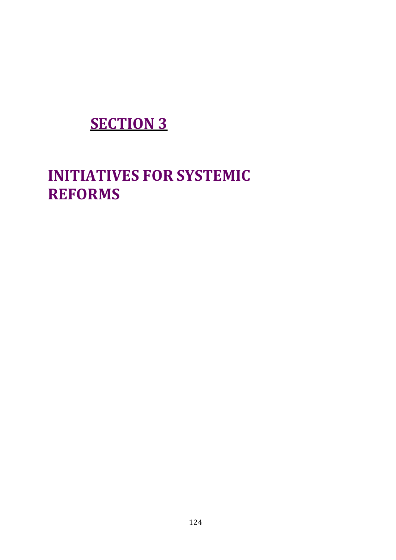## **SECTION 3**

# **INITIATIVES FOR SYSTEMIC REFORMS**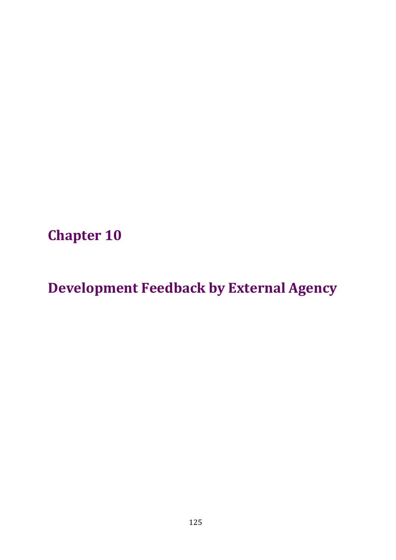**Chapter 10**

**Development Feedback by External Agency**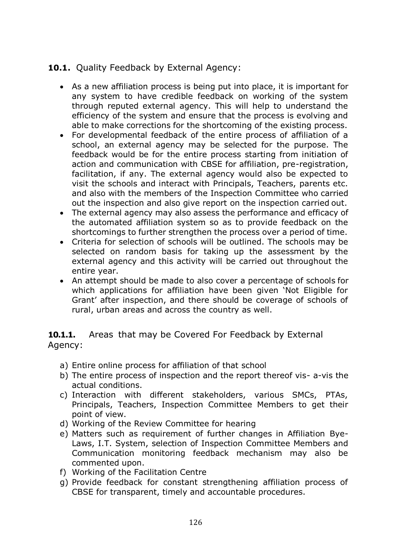### **10.1.** Quality Feedback by External Agency:

- As a new affiliation process is being put into place, it is important for any system to have credible feedback on working of the system through reputed external agency. This will help to understand the efficiency of the system and ensure that the process is evolving and able to make corrections for the shortcoming of the existing process.
- For developmental feedback of the entire process of affiliation of a school, an external agency may be selected for the purpose. The feedback would be for the entire process starting from initiation of action and communication with CBSE for affiliation, pre-registration, facilitation, if any. The external agency would also be expected to visit the schools and interact with Principals, Teachers, parents etc. and also with the members of the Inspection Committee who carried out the inspection and also give report on the inspection carried out.
- The external agency may also assess the performance and efficacy of the automated affiliation system so as to provide feedback on the shortcomings to further strengthen the process over a period of time.
- Criteria for selection of schools will be outlined. The schools may be selected on random basis for taking up the assessment by the external agency and this activity will be carried out throughout the entire year.
- An attempt should be made to also cover a percentage of schools for which applications for affiliation have been given 'Not Eligible for Grant' after inspection, and there should be coverage of schools of rural, urban areas and across the country as well.

**10.1.1.** Areas that may be Covered For Feedback by External Agency:

- a) Entire online process for affiliation of that school
- b) The entire process of inspection and the report thereof vis- a-vis the actual conditions.
- c) Interaction with different stakeholders, various SMCs, PTAs, Principals, Teachers, Inspection Committee Members to get their point of view.
- d) Working of the Review Committee for hearing
- e) Matters such as requirement of further changes in Affiliation Bye-Laws, I.T. System, selection of Inspection Committee Members and Communication monitoring feedback mechanism may also be commented upon.
- f) Working of the Facilitation Centre
- g) Provide feedback for constant strengthening affiliation process of CBSE for transparent, timely and accountable procedures.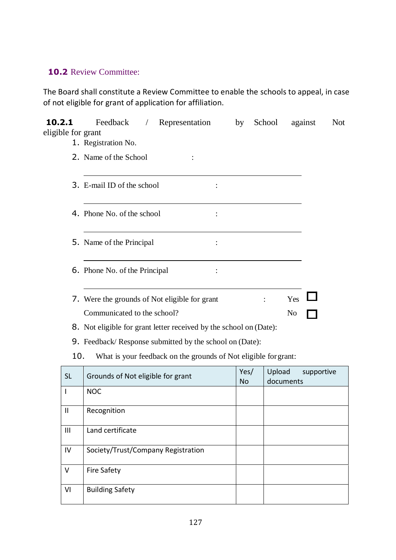### **10.2** Review Committee:

The Board shall constitute a Review Committee to enable the schools to appeal, in case of not eligible for grant of application for affiliation.

| 10.2.1<br>eligible for grant | Feedback<br>Representation<br>$\sqrt{2}$                                     | by                | School | against                 | <b>Not</b> |
|------------------------------|------------------------------------------------------------------------------|-------------------|--------|-------------------------|------------|
|                              | 1. Registration No.                                                          |                   |        |                         |            |
|                              | 2. Name of the School                                                        |                   |        |                         |            |
|                              | 3. E-mail ID of the school                                                   |                   |        |                         |            |
|                              | 4. Phone No. of the school<br>$\ddot{\cdot}$                                 |                   |        |                         |            |
|                              | 5. Name of the Principal                                                     |                   |        |                         |            |
|                              | 6. Phone No. of the Principal                                                |                   |        |                         |            |
|                              | 7. Were the grounds of Not eligible for grant<br>Communicated to the school? |                   |        | Yes<br>No               |            |
|                              | 8. Not eligible for grant letter received by the school on (Date):           |                   |        |                         |            |
|                              | 9. Feedback/Response submitted by the school on (Date):                      |                   |        |                         |            |
| 10.                          | What is your feedback on the grounds of Not eligible for grant:              |                   |        |                         |            |
| <b>SL</b>                    | Grounds of Not eligible for grant                                            | Yes/<br><b>No</b> | Upload | supportive<br>documents |            |
| I                            | <b>NOC</b>                                                                   |                   |        |                         |            |
| $\mathbf{I}$                 | Recognition                                                                  |                   |        |                         |            |
| III                          | Land certificate                                                             |                   |        |                         |            |
| IV                           | Society/Trust/Company Registration                                           |                   |        |                         |            |
| V                            | <b>Fire Safety</b>                                                           |                   |        |                         |            |
| VI                           | <b>Building Safety</b>                                                       |                   |        |                         |            |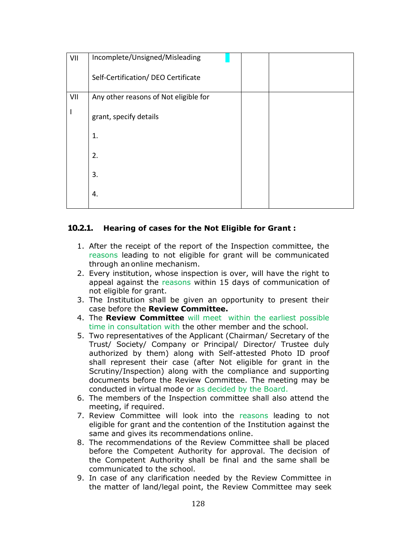| VII | Incomplete/Unsigned/Misleading        |  |
|-----|---------------------------------------|--|
|     | Self-Certification/ DEO Certificate   |  |
| VII | Any other reasons of Not eligible for |  |
|     | grant, specify details                |  |
|     | 1.                                    |  |
|     | 2.                                    |  |
|     | 3.                                    |  |
|     | 4.                                    |  |
|     |                                       |  |

#### **10.2.1. Hearing of cases for the Not Eligible for Grant :**

- 1. After the receipt of the report of the Inspection committee, the reasons leading to not eligible for grant will be communicated through an online mechanism.
- 2. Every institution, whose inspection is over, will have the right to appeal against the reasons within 15 days of communication of not eligible for grant.
- 3. The Institution shall be given an opportunity to present their case before the **Review Committee.**
- 4. The **Review Committee** will meet within the earliest possible time in consultation with the other member and the school.
- 5. Two representatives of the Applicant (Chairman/ Secretary of the Trust/ Society/ Company or Principal/ Director/ Trustee duly authorized by them) along with Self-attested Photo ID proof shall represent their case (after Not eligible for grant in the Scrutiny/Inspection) along with the compliance and supporting documents before the Review Committee. The meeting may be conducted in virtual mode or as decided by the Board.
- 6. The members of the Inspection committee shall also attend the meeting, if required.
- 7. Review Committee will look into the reasons leading to not eligible for grant and the contention of the Institution against the same and gives its recommendations online.
- 8. The recommendations of the Review Committee shall be placed before the Competent Authority for approval. The decision of the Competent Authority shall be final and the same shall be communicated to the school.
- 9. In case of any clarification needed by the Review Committee in the matter of land/legal point, the Review Committee may seek